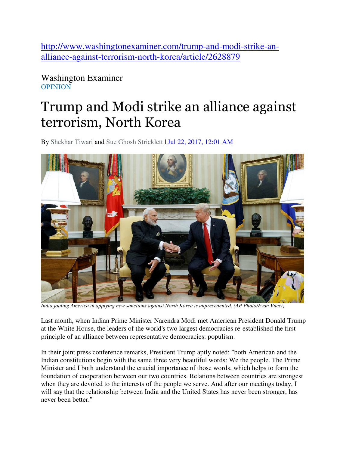http://www.washingtonexaminer.com/trump-and-modi-strike-analliance-against-terrorism-north-korea/article/2628879

Washington Examiner OPINION

## Trump and Modi strike an alliance against terrorism, North Korea

By Shekhar Tiwari and Sue Ghosh Stricklett | Jul 22, 2017, 12:01 AM



*India joining America in applying new sanctions against North Korea is unprecedented. (AP Photo/Evan Vucci)*

Last month, when Indian Prime Minister Narendra Modi met American President Donald Trump at the White House, the leaders of the world's two largest democracies re-established the first principle of an alliance between representative democracies: populism.

In their joint press conference remarks, President Trump aptly noted: "both American and the Indian constitutions begin with the same three very beautiful words: We the people. The Prime Minister and I both understand the crucial importance of those words, which helps to form the foundation of cooperation between our two countries. Relations between countries are strongest when they are devoted to the interests of the people we serve. And after our meetings today, I will say that the relationship between India and the United States has never been stronger, has never been better."